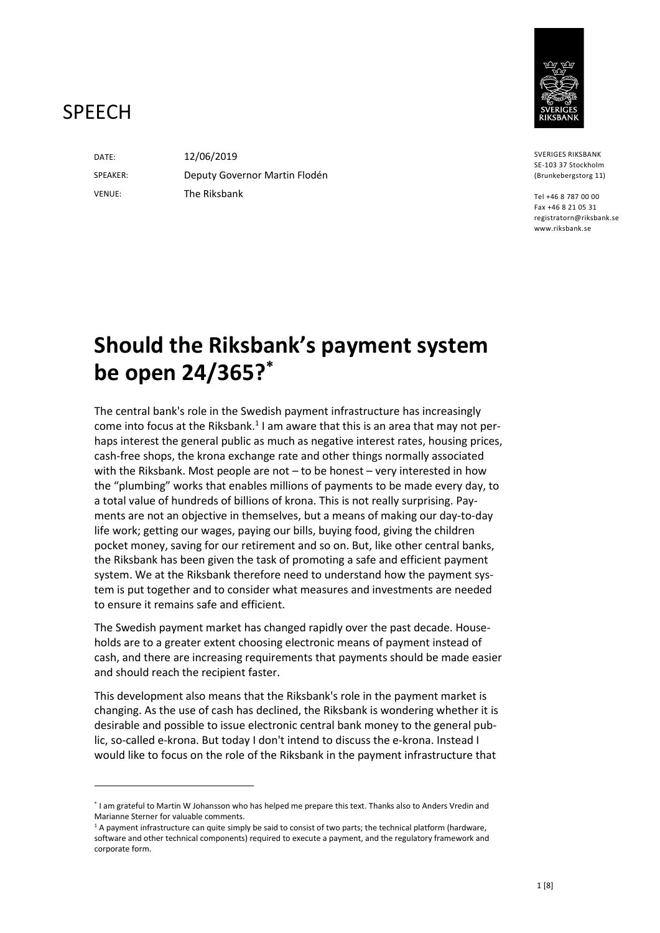

# **SPFFCH**

DATE: SPEAKER: VENUE:

12/06/2019 Deputy Governor Martin Flodén The Riksbank

SVERIGES RIKSBANK SE-103 37 Stockholm (Brunkebergstorg 11)

Tel +46 8 787 00 00 Fax +46 8 21 05 31 registratorn@riksbank.se www.riksbank.se

# **Should the Riksbank's payment system be open 24/365? \***

The central bank's role in the Swedish payment infrastructure has increasingly come into focus at the Riksbank.<sup>1</sup> I am aware that this is an area that may not perhaps interest the general public as much as negative interest rates, housing prices, cash-free shops, the krona exchange rate and other things normally associated with the Riksbank. Most people are not – to be honest – very interested in how the "plumbing" works that enables millions of payments to be made every day, to a total value of hundreds of billions of krona. This is not really surprising. Payments are not an objective in themselves, but a means of making our day-to-day life work; getting our wages, paying our bills, buying food, giving the children pocket money, saving for our retirement and so on. But, like other central banks, the Riksbank has been given the task of promoting a safe and efficient payment system. We at the Riksbank therefore need to understand how the payment system is put together and to consider what measures and investments are needed to ensure it remains safe and efficient.

The Swedish payment market has changed rapidly over the past decade. Households are to a greater extent choosing electronic means of payment instead of cash, and there are increasing requirements that payments should be made easier and should reach the recipient faster.

This development also means that the Riksbank's role in the payment market is changing. As the use of cash has declined, the Riksbank is wondering whether it is desirable and possible to issue electronic central bank money to the general public, so-called e-krona. But today I don't intend to discuss the e-krona. Instead I would like to focus on the role of the Riksbank in the payment infrastructure that

<sup>\*</sup> I am grateful to Martin W Johansson who has helped me prepare this text. Thanks also to Anders Vredin and Marianne Sterner for valuable comments.

 $1A$  payment infrastructure can quite simply be said to consist of two parts; the technical platform (hardware, software and other technical components) required to execute a payment, and the regulatory framework and corporate form.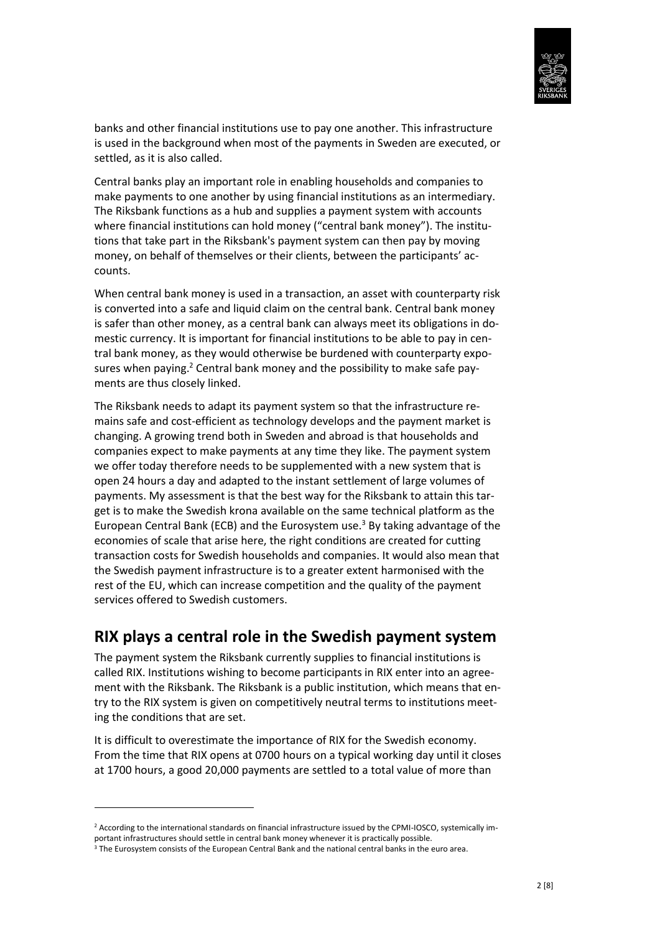

banks and other financial institutions use to pay one another. This infrastructure is used in the background when most of the payments in Sweden are executed, or settled, as it is also called.

Central banks play an important role in enabling households and companies to make payments to one another by using financial institutions as an intermediary. The Riksbank functions as a hub and supplies a payment system with accounts where financial institutions can hold money ("central bank money"). The institutions that take part in the Riksbank's payment system can then pay by moving money, on behalf of themselves or their clients, between the participants' accounts.

When central bank money is used in a transaction, an asset with counterparty risk is converted into a safe and liquid claim on the central bank. Central bank money is safer than other money, as a central bank can always meet its obligations in domestic currency. It is important for financial institutions to be able to pay in central bank money, as they would otherwise be burdened with counterparty exposures when paying.<sup>2</sup> Central bank money and the possibility to make safe payments are thus closely linked.

The Riksbank needs to adapt its payment system so that the infrastructure remains safe and cost-efficient as technology develops and the payment market is changing. A growing trend both in Sweden and abroad is that households and companies expect to make payments at any time they like. The payment system we offer today therefore needs to be supplemented with a new system that is open 24 hours a day and adapted to the instant settlement of large volumes of payments. My assessment is that the best way for the Riksbank to attain this target is to make the Swedish krona available on the same technical platform as the European Central Bank (ECB) and the Eurosystem use.<sup>3</sup> By taking advantage of the economies of scale that arise here, the right conditions are created for cutting transaction costs for Swedish households and companies. It would also mean that the Swedish payment infrastructure is to a greater extent harmonised with the rest of the EU, which can increase competition and the quality of the payment services offered to Swedish customers.

#### **RIX plays a central role in the Swedish payment system**

The payment system the Riksbank currently supplies to financial institutions is called RIX. Institutions wishing to become participants in RIX enter into an agreement with the Riksbank. The Riksbank is a public institution, which means that entry to the RIX system is given on competitively neutral terms to institutions meeting the conditions that are set.

It is difficult to overestimate the importance of RIX for the Swedish economy. From the time that RIX opens at 0700 hours on a typical working day until it closes at 1700 hours, a good 20,000 payments are settled to a total value of more than

**.** 

<sup>2</sup> According to the international standards on financial infrastructure issued by the CPMI-IOSCO, systemically important infrastructures should settle in central bank money whenever it is practically possible.

<sup>&</sup>lt;sup>3</sup> The Eurosystem consists of the European Central Bank and the national central banks in the euro area.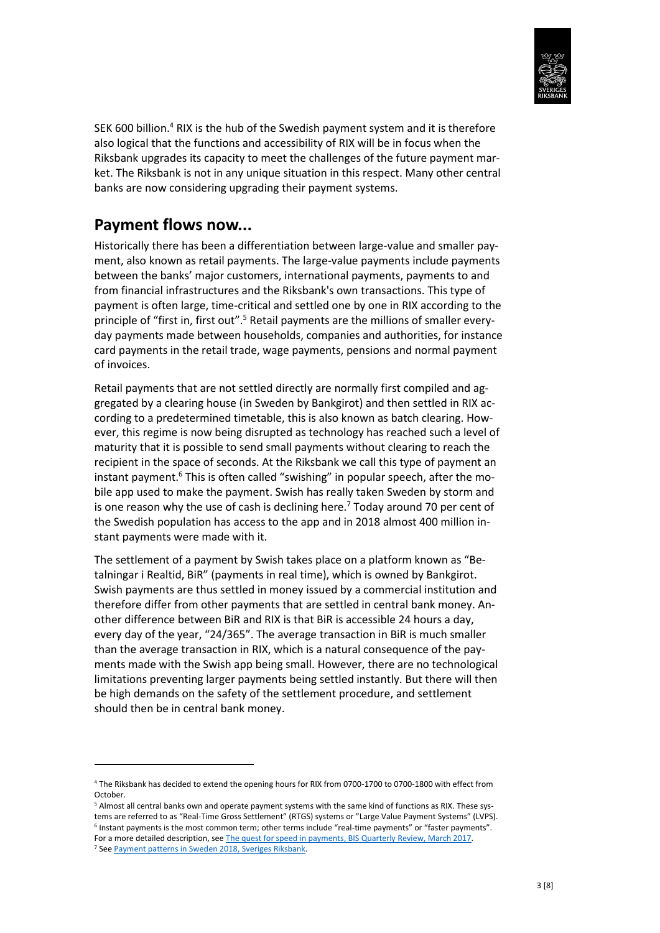

SEK 600 billion.<sup>4</sup> RIX is the hub of the Swedish payment system and it is therefore also logical that the functions and accessibility of RIX will be in focus when the Riksbank upgrades its capacity to meet the challenges of the future payment market. The Riksbank is not in any unique situation in this respect. Many other central banks are now considering upgrading their payment systems.

#### **Payment flows now...**

Historically there has been a differentiation between large-value and smaller payment, also known as retail payments. The large-value payments include payments between the banks' major customers, international payments, payments to and from financial infrastructures and the Riksbank's own transactions. This type of payment is often large, time-critical and settled one by one in RIX according to the principle of "first in, first out".<sup>5</sup> Retail payments are the millions of smaller everyday payments made between households, companies and authorities, for instance card payments in the retail trade, wage payments, pensions and normal payment of invoices.

Retail payments that are not settled directly are normally first compiled and aggregated by a clearing house (in Sweden by Bankgirot) and then settled in RIX according to a predetermined timetable, this is also known as batch clearing. However, this regime is now being disrupted as technology has reached such a level of maturity that it is possible to send small payments without clearing to reach the recipient in the space of seconds. At the Riksbank we call this type of payment an instant payment.<sup>6</sup> This is often called "swishing" in popular speech, after the mobile app used to make the payment. Swish has really taken Sweden by storm and is one reason why the use of cash is declining here.<sup>7</sup> Today around 70 per cent of the Swedish population has access to the app and in 2018 almost 400 million instant payments were made with it.

The settlement of a payment by Swish takes place on a platform known as "Betalningar i Realtid, BiR" (payments in real time), which is owned by Bankgirot. Swish payments are thus settled in money issued by a commercial institution and therefore differ from other payments that are settled in central bank money. Another difference between BiR and RIX is that BiR is accessible 24 hours a day, every day of the year, "24/365". The average transaction in BiR is much smaller than the average transaction in RIX, which is a natural consequence of the payments made with the Swish app being small. However, there are no technological limitations preventing larger payments being settled instantly. But there will then be high demands on the safety of the settlement procedure, and settlement should then be in central bank money.

**.** 

<sup>4</sup> The Riksbank has decided to extend the opening hours for RIX from 0700-1700 to 0700-1800 with effect from October.

<sup>5</sup> Almost all central banks own and operate payment systems with the same kind of functions as RIX. These systems are referred to as "Real-Time Gross Settlement" (RTGS) systems or "Large Value Payment Systems" (LVPS).

<sup>&</sup>lt;sup>6</sup> Instant payments is the most common term; other terms include "real-time payments" or "faster payments". For a more detailed description, see [The quest for speed in payments, BIS Quarterly Review, March 2017.](https://www.bis.org/publ/qtrpdf/r_qt1703g.htm)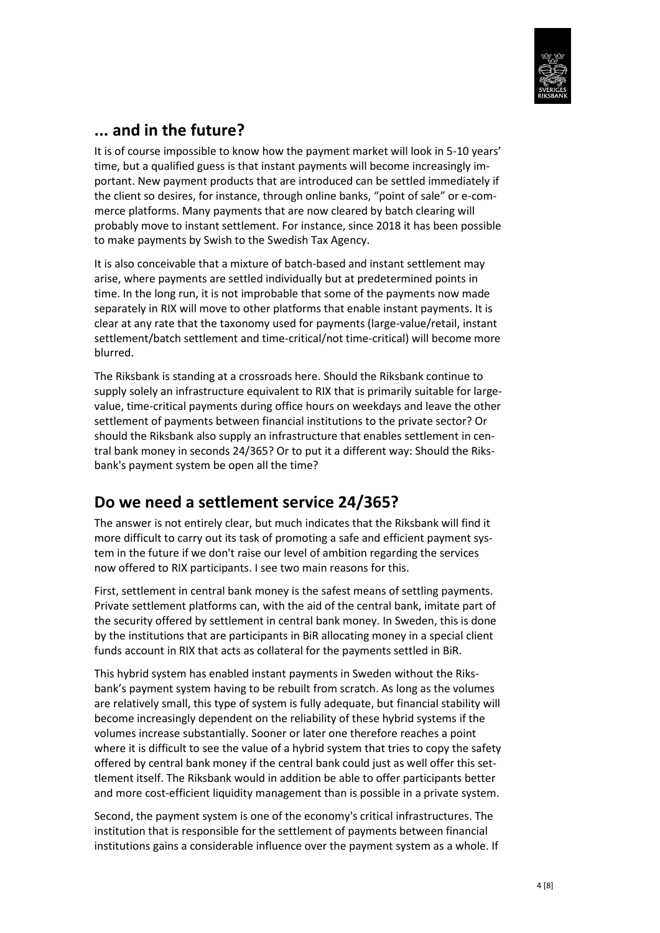

### **... and in the future?**

It is of course impossible to know how the payment market will look in 5-10 years' time, but a qualified guess is that instant payments will become increasingly important. New payment products that are introduced can be settled immediately if the client so desires, for instance, through online banks, "point of sale" or e-commerce platforms. Many payments that are now cleared by batch clearing will probably move to instant settlement. For instance, since 2018 it has been possible to make payments by Swish to the Swedish Tax Agency.

It is also conceivable that a mixture of batch-based and instant settlement may arise, where payments are settled individually but at predetermined points in time. In the long run, it is not improbable that some of the payments now made separately in RIX will move to other platforms that enable instant payments. It is clear at any rate that the taxonomy used for payments (large-value/retail, instant settlement/batch settlement and time-critical/not time-critical) will become more blurred.

The Riksbank is standing at a crossroads here. Should the Riksbank continue to supply solely an infrastructure equivalent to RIX that is primarily suitable for largevalue, time-critical payments during office hours on weekdays and leave the other settlement of payments between financial institutions to the private sector? Or should the Riksbank also supply an infrastructure that enables settlement in central bank money in seconds 24/365? Or to put it a different way: Should the Riksbank's payment system be open all the time?

#### **Do we need a settlement service 24/365?**

The answer is not entirely clear, but much indicates that the Riksbank will find it more difficult to carry out its task of promoting a safe and efficient payment system in the future if we don't raise our level of ambition regarding the services now offered to RIX participants. I see two main reasons for this.

First, settlement in central bank money is the safest means of settling payments. Private settlement platforms can, with the aid of the central bank, imitate part of the security offered by settlement in central bank money. In Sweden, this is done by the institutions that are participants in BiR allocating money in a special client funds account in RIX that acts as collateral for the payments settled in BiR.

This hybrid system has enabled instant payments in Sweden without the Riksbank's payment system having to be rebuilt from scratch. As long as the volumes are relatively small, this type of system is fully adequate, but financial stability will become increasingly dependent on the reliability of these hybrid systems if the volumes increase substantially. Sooner or later one therefore reaches a point where it is difficult to see the value of a hybrid system that tries to copy the safety offered by central bank money if the central bank could just as well offer this settlement itself. The Riksbank would in addition be able to offer participants better and more cost-efficient liquidity management than is possible in a private system.

Second, the payment system is one of the economy's critical infrastructures. The institution that is responsible for the settlement of payments between financial institutions gains a considerable influence over the payment system as a whole. If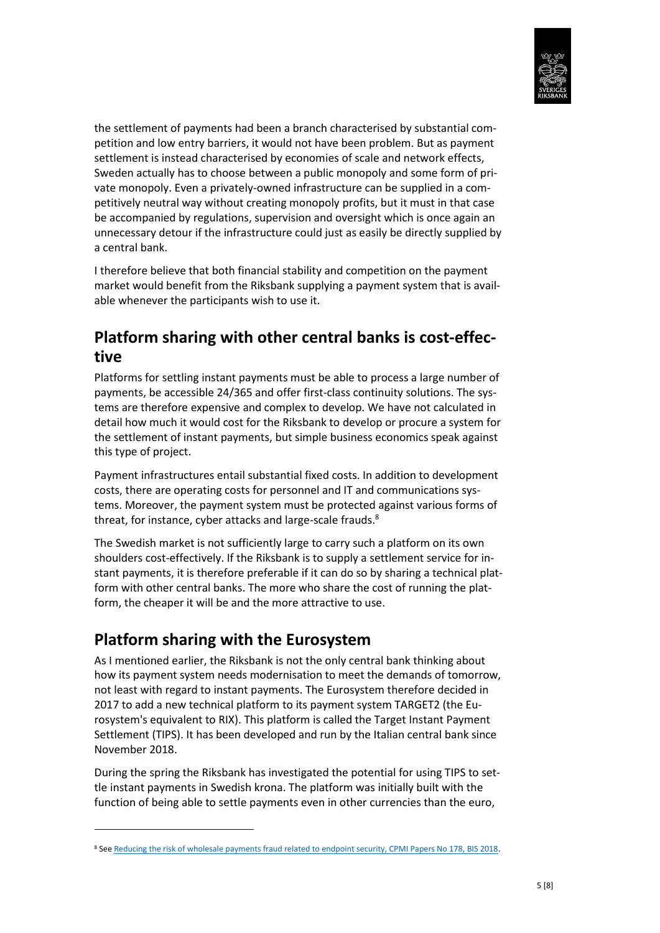

the settlement of payments had been a branch characterised by substantial competition and low entry barriers, it would not have been problem. But as payment settlement is instead characterised by economies of scale and network effects, Sweden actually has to choose between a public monopoly and some form of private monopoly. Even a privately-owned infrastructure can be supplied in a competitively neutral way without creating monopoly profits, but it must in that case be accompanied by regulations, supervision and oversight which is once again an unnecessary detour if the infrastructure could just as easily be directly supplied by a central bank.

I therefore believe that both financial stability and competition on the payment market would benefit from the Riksbank supplying a payment system that is available whenever the participants wish to use it.

#### **Platform sharing with other central banks is cost-effective**

Platforms for settling instant payments must be able to process a large number of payments, be accessible 24/365 and offer first-class continuity solutions. The systems are therefore expensive and complex to develop. We have not calculated in detail how much it would cost for the Riksbank to develop or procure a system for the settlement of instant payments, but simple business economics speak against this type of project.

Payment infrastructures entail substantial fixed costs. In addition to development costs, there are operating costs for personnel and IT and communications systems. Moreover, the payment system must be protected against various forms of threat, for instance, cyber attacks and large-scale frauds.<sup>8</sup>

The Swedish market is not sufficiently large to carry such a platform on its own shoulders cost-effectively. If the Riksbank is to supply a settlement service for instant payments, it is therefore preferable if it can do so by sharing a technical platform with other central banks. The more who share the cost of running the platform, the cheaper it will be and the more attractive to use.

# **Platform sharing with the Eurosystem**

1

As I mentioned earlier, the Riksbank is not the only central bank thinking about how its payment system needs modernisation to meet the demands of tomorrow, not least with regard to instant payments. The Eurosystem therefore decided in 2017 to add a new technical platform to its payment system TARGET2 (the Eurosystem's equivalent to RIX). This platform is called the Target Instant Payment Settlement (TIPS). It has been developed and run by the Italian central bank since November 2018.

During the spring the Riksbank has investigated the potential for using TIPS to settle instant payments in Swedish krona. The platform was initially built with the function of being able to settle payments even in other currencies than the euro,

<sup>&</sup>lt;sup>8</sup> Se[e Reducing the risk of wholesale payments fraud related to endpoint security, CPMI Papers No 178, BIS 2018.](https://www.bis.org/cpmi/publ/d178.htm)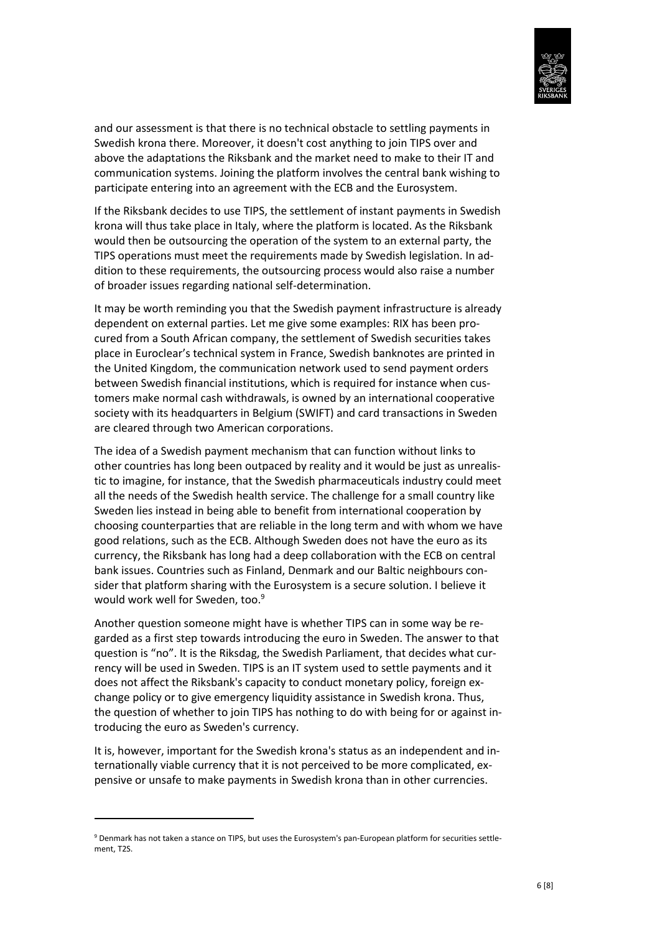

and our assessment is that there is no technical obstacle to settling payments in Swedish krona there. Moreover, it doesn't cost anything to join TIPS over and above the adaptations the Riksbank and the market need to make to their IT and communication systems. Joining the platform involves the central bank wishing to participate entering into an agreement with the ECB and the Eurosystem.

If the Riksbank decides to use TIPS, the settlement of instant payments in Swedish krona will thus take place in Italy, where the platform is located. As the Riksbank would then be outsourcing the operation of the system to an external party, the TIPS operations must meet the requirements made by Swedish legislation. In addition to these requirements, the outsourcing process would also raise a number of broader issues regarding national self-determination.

It may be worth reminding you that the Swedish payment infrastructure is already dependent on external parties. Let me give some examples: RIX has been procured from a South African company, the settlement of Swedish securities takes place in Euroclear's technical system in France, Swedish banknotes are printed in the United Kingdom, the communication network used to send payment orders between Swedish financial institutions, which is required for instance when customers make normal cash withdrawals, is owned by an international cooperative society with its headquarters in Belgium (SWIFT) and card transactions in Sweden are cleared through two American corporations.

The idea of a Swedish payment mechanism that can function without links to other countries has long been outpaced by reality and it would be just as unrealistic to imagine, for instance, that the Swedish pharmaceuticals industry could meet all the needs of the Swedish health service. The challenge for a small country like Sweden lies instead in being able to benefit from international cooperation by choosing counterparties that are reliable in the long term and with whom we have good relations, such as the ECB. Although Sweden does not have the euro as its currency, the Riksbank has long had a deep collaboration with the ECB on central bank issues. Countries such as Finland, Denmark and our Baltic neighbours consider that platform sharing with the Eurosystem is a secure solution. I believe it would work well for Sweden, too.<sup>9</sup>

Another question someone might have is whether TIPS can in some way be regarded as a first step towards introducing the euro in Sweden. The answer to that question is "no". It is the Riksdag, the Swedish Parliament, that decides what currency will be used in Sweden. TIPS is an IT system used to settle payments and it does not affect the Riksbank's capacity to conduct monetary policy, foreign exchange policy or to give emergency liquidity assistance in Swedish krona. Thus, the question of whether to join TIPS has nothing to do with being for or against introducing the euro as Sweden's currency.

It is, however, important for the Swedish krona's status as an independent and internationally viable currency that it is not perceived to be more complicated, expensive or unsafe to make payments in Swedish krona than in other currencies.

1

<sup>&</sup>lt;sup>9</sup> Denmark has not taken a stance on TIPS, but uses the Eurosystem's pan-European platform for securities settlement, T2S.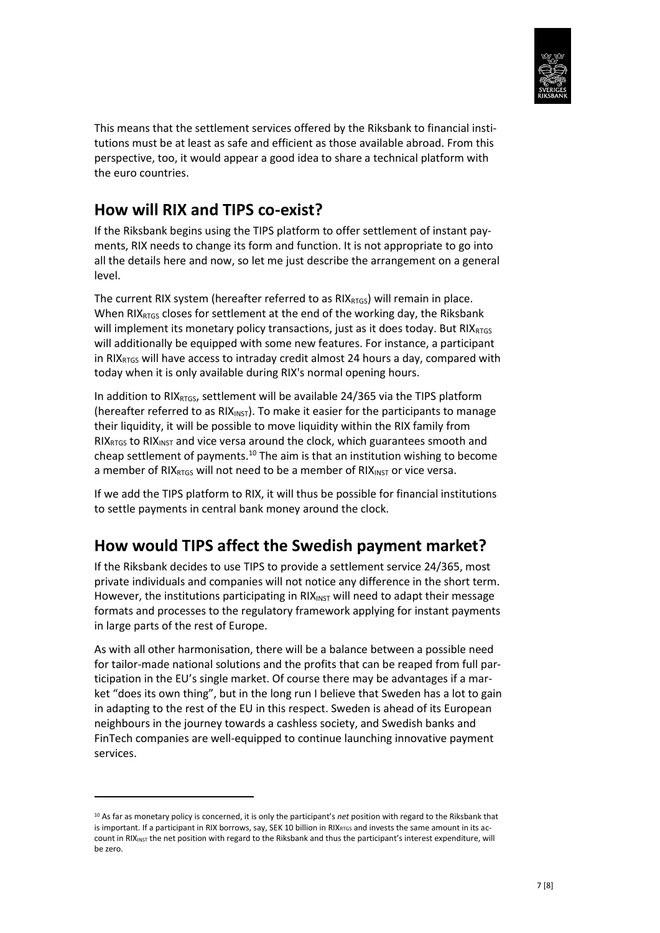

This means that the settlement services offered by the Riksbank to financial institutions must be at least as safe and efficient as those available abroad. From this perspective, too, it would appear a good idea to share a technical platform with the euro countries.

#### **How will RIX and TIPS co-exist?**

If the Riksbank begins using the TIPS platform to offer settlement of instant payments, RIX needs to change its form and function. It is not appropriate to go into all the details here and now, so let me just describe the arrangement on a general level.

The current RIX system (hereafter referred to as  $RIX<sub>RTGS</sub>$ ) will remain in place. When RIX $_{RIGS}$  closes for settlement at the end of the working day, the Riksbank will implement its monetary policy transactions, just as it does today. But  $\text{RIX}_{\text{RTGS}}$ will additionally be equipped with some new features. For instance, a participant in RIX<sub>RTGS</sub> will have access to intraday credit almost 24 hours a day, compared with today when it is only available during RIX's normal opening hours.

In addition to RIX $_{RTSS}$ , settlement will be available 24/365 via the TIPS platform (hereafter referred to as  $RIX_{INST}$ ). To make it easier for the participants to manage their liquidity, it will be possible to move liquidity within the RIX family from  $RIX_{RTGS}$  to RIX<sub>INST</sub> and vice versa around the clock, which guarantees smooth and cheap settlement of payments.<sup>10</sup> The aim is that an institution wishing to become a member of RIX<sub>RTGS</sub> will not need to be a member of RIX<sub>INST</sub> or vice versa.

If we add the TIPS platform to RIX, it will thus be possible for financial institutions to settle payments in central bank money around the clock.

#### **How would TIPS affect the Swedish payment market?**

If the Riksbank decides to use TIPS to provide a settlement service 24/365, most private individuals and companies will not notice any difference in the short term. However, the institutions participating in  $RIX_{INT}$  will need to adapt their message formats and processes to the regulatory framework applying for instant payments in large parts of the rest of Europe.

As with all other harmonisation, there will be a balance between a possible need for tailor-made national solutions and the profits that can be reaped from full participation in the EU's single market. Of course there may be advantages if a market "does its own thing", but in the long run I believe that Sweden has a lot to gain in adapting to the rest of the EU in this respect. Sweden is ahead of its European neighbours in the journey towards a cashless society, and Swedish banks and FinTech companies are well-equipped to continue launching innovative payment services.

**.** 

<sup>10</sup> As far as monetary policy is concerned, it is only the participant's *net* position with regard to the Riksbank that is important. If a participant in RIX borrows, say, SEK 10 billion in RIX<sub>RTGS</sub> and invests the same amount in its account in RIX<sub>INST</sub> the net position with regard to the Riksbank and thus the participant's interest expenditure, will be zero.